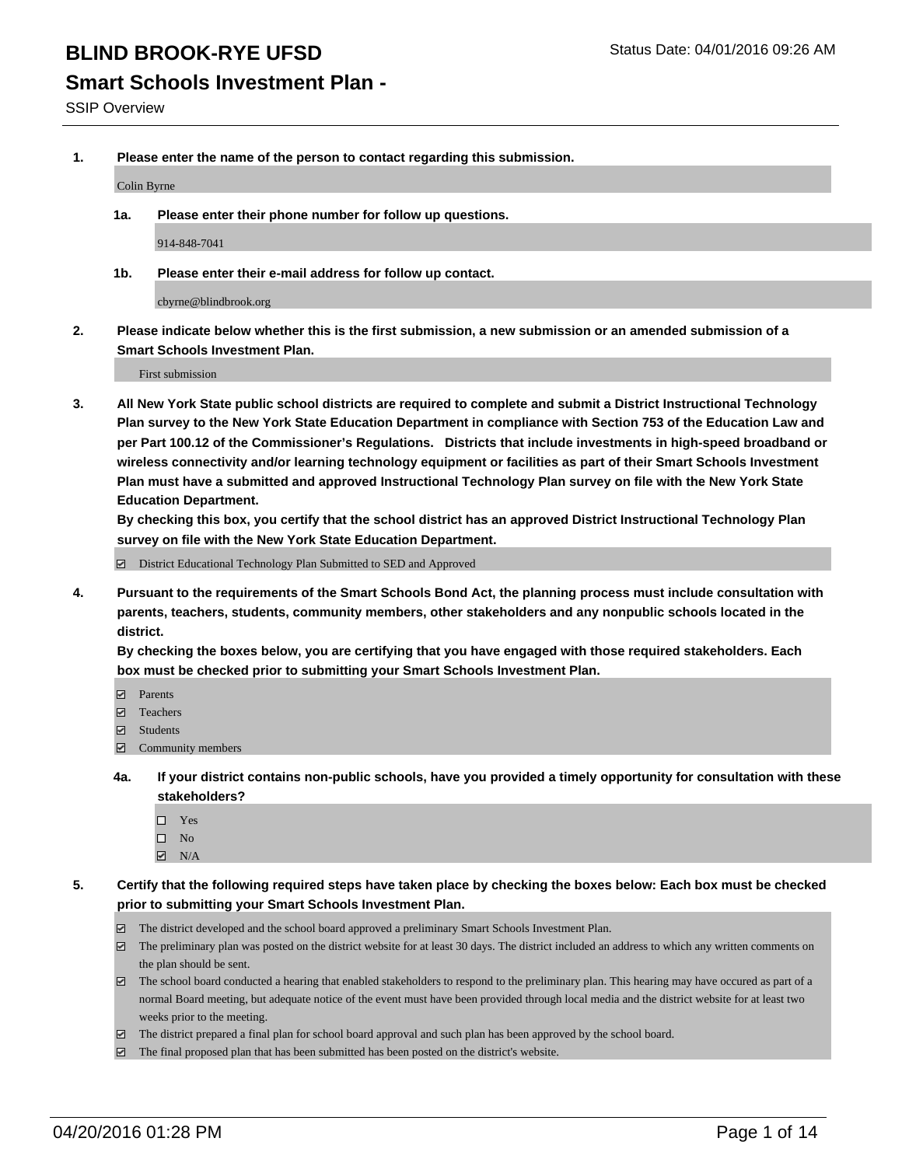### **Smart Schools Investment Plan -**

SSIP Overview

**1. Please enter the name of the person to contact regarding this submission.**

Colin Byrne

**1a. Please enter their phone number for follow up questions.**

914-848-7041

**1b. Please enter their e-mail address for follow up contact.**

cbyrne@blindbrook.org

**2. Please indicate below whether this is the first submission, a new submission or an amended submission of a Smart Schools Investment Plan.**

First submission

**3. All New York State public school districts are required to complete and submit a District Instructional Technology Plan survey to the New York State Education Department in compliance with Section 753 of the Education Law and per Part 100.12 of the Commissioner's Regulations. Districts that include investments in high-speed broadband or wireless connectivity and/or learning technology equipment or facilities as part of their Smart Schools Investment Plan must have a submitted and approved Instructional Technology Plan survey on file with the New York State Education Department.** 

**By checking this box, you certify that the school district has an approved District Instructional Technology Plan survey on file with the New York State Education Department.**

■ District Educational Technology Plan Submitted to SED and Approved

**4. Pursuant to the requirements of the Smart Schools Bond Act, the planning process must include consultation with parents, teachers, students, community members, other stakeholders and any nonpublic schools located in the district.** 

**By checking the boxes below, you are certifying that you have engaged with those required stakeholders. Each box must be checked prior to submitting your Smart Schools Investment Plan.**

- **Parents**
- □ Teachers
- Students
- $\boxdot$  Community members
- **4a. If your district contains non-public schools, have you provided a timely opportunity for consultation with these stakeholders?**
	- □ Yes
	- $\square$  No
	- $\boxtimes$  N/A
- **5. Certify that the following required steps have taken place by checking the boxes below: Each box must be checked prior to submitting your Smart Schools Investment Plan.**
	- The district developed and the school board approved a preliminary Smart Schools Investment Plan.
	- The preliminary plan was posted on the district website for at least 30 days. The district included an address to which any written comments on the plan should be sent.
	- $\Box$  The school board conducted a hearing that enabled stakeholders to respond to the preliminary plan. This hearing may have occured as part of a normal Board meeting, but adequate notice of the event must have been provided through local media and the district website for at least two weeks prior to the meeting.
	- The district prepared a final plan for school board approval and such plan has been approved by the school board.
	- The final proposed plan that has been submitted has been posted on the district's website.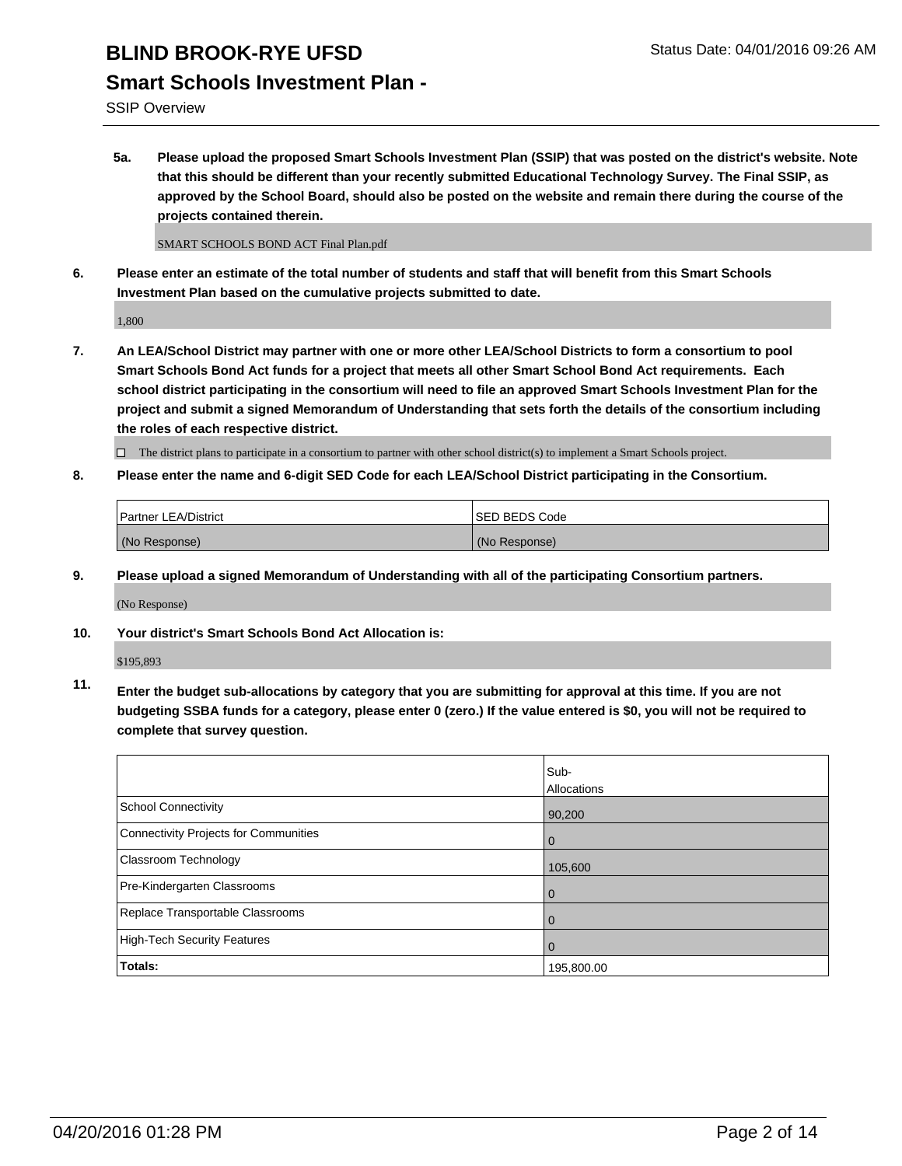## **Smart Schools Investment Plan -**

SSIP Overview

**5a. Please upload the proposed Smart Schools Investment Plan (SSIP) that was posted on the district's website. Note that this should be different than your recently submitted Educational Technology Survey. The Final SSIP, as approved by the School Board, should also be posted on the website and remain there during the course of the projects contained therein.**

SMART SCHOOLS BOND ACT Final Plan.pdf

**6. Please enter an estimate of the total number of students and staff that will benefit from this Smart Schools Investment Plan based on the cumulative projects submitted to date.**

1,800

**7. An LEA/School District may partner with one or more other LEA/School Districts to form a consortium to pool Smart Schools Bond Act funds for a project that meets all other Smart School Bond Act requirements. Each school district participating in the consortium will need to file an approved Smart Schools Investment Plan for the project and submit a signed Memorandum of Understanding that sets forth the details of the consortium including the roles of each respective district.**

 $\Box$  The district plans to participate in a consortium to partner with other school district(s) to implement a Smart Schools project.

**8. Please enter the name and 6-digit SED Code for each LEA/School District participating in the Consortium.**

| Partner LEA/District | <b>ISED BEDS Code</b> |
|----------------------|-----------------------|
| (No Response)        | (No Response)         |

**9. Please upload a signed Memorandum of Understanding with all of the participating Consortium partners.**

(No Response)

**10. Your district's Smart Schools Bond Act Allocation is:**

\$195,893

**11. Enter the budget sub-allocations by category that you are submitting for approval at this time. If you are not budgeting SSBA funds for a category, please enter 0 (zero.) If the value entered is \$0, you will not be required to complete that survey question.**

|                                       | Sub-<br>Allocations |
|---------------------------------------|---------------------|
| School Connectivity                   | 90,200              |
| Connectivity Projects for Communities | 0                   |
| <b>Classroom Technology</b>           | 105,600             |
| Pre-Kindergarten Classrooms           | 0                   |
| Replace Transportable Classrooms      | 0                   |
| High-Tech Security Features           | 0                   |
| Totals:                               | 195,800.00          |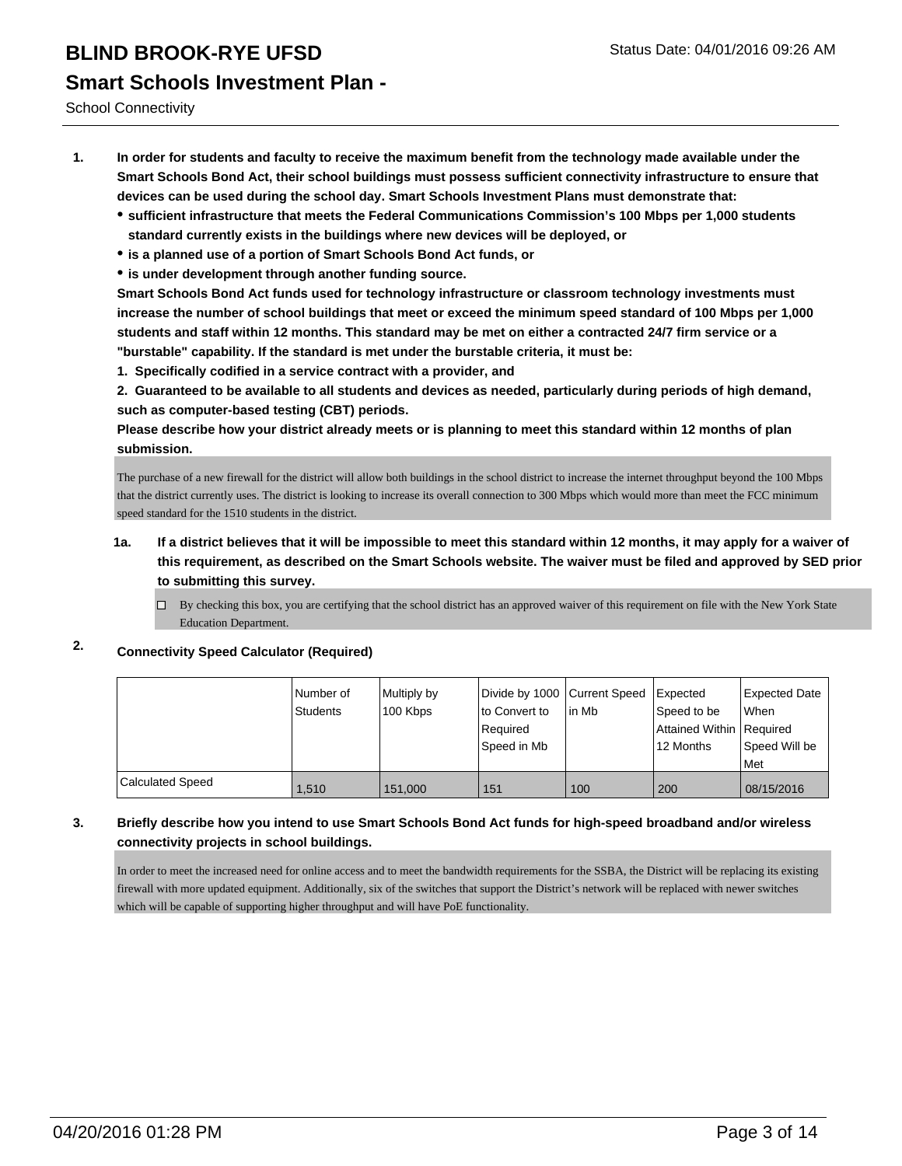School Connectivity

- **1. In order for students and faculty to receive the maximum benefit from the technology made available under the Smart Schools Bond Act, their school buildings must possess sufficient connectivity infrastructure to ensure that devices can be used during the school day. Smart Schools Investment Plans must demonstrate that:**
	- **sufficient infrastructure that meets the Federal Communications Commission's 100 Mbps per 1,000 students standard currently exists in the buildings where new devices will be deployed, or**
	- **is a planned use of a portion of Smart Schools Bond Act funds, or**
	- **is under development through another funding source.**

**Smart Schools Bond Act funds used for technology infrastructure or classroom technology investments must increase the number of school buildings that meet or exceed the minimum speed standard of 100 Mbps per 1,000 students and staff within 12 months. This standard may be met on either a contracted 24/7 firm service or a "burstable" capability. If the standard is met under the burstable criteria, it must be:**

**1. Specifically codified in a service contract with a provider, and**

**2. Guaranteed to be available to all students and devices as needed, particularly during periods of high demand, such as computer-based testing (CBT) periods.**

**Please describe how your district already meets or is planning to meet this standard within 12 months of plan submission.**

The purchase of a new firewall for the district will allow both buildings in the school district to increase the internet throughput beyond the 100 Mbps that the district currently uses. The district is looking to increase its overall connection to 300 Mbps which would more than meet the FCC minimum speed standard for the 1510 students in the district.

- **1a. If a district believes that it will be impossible to meet this standard within 12 months, it may apply for a waiver of this requirement, as described on the Smart Schools website. The waiver must be filed and approved by SED prior to submitting this survey.**
	- By checking this box, you are certifying that the school district has an approved waiver of this requirement on file with the New York State Education Department.

### **2. Connectivity Speed Calculator (Required)**

|                  | l Number of<br>Students | Multiply by<br>100 Kbps | Divide by 1000 Current Speed<br>lto Convert to<br>Reauired<br>Speed in Mb | lin Mb | Expected<br>Speed to be<br>Attained Within   Required<br>12 Months | <b>Expected Date</b><br><b>When</b><br>Speed Will be |
|------------------|-------------------------|-------------------------|---------------------------------------------------------------------------|--------|--------------------------------------------------------------------|------------------------------------------------------|
|                  |                         |                         |                                                                           |        |                                                                    | <b>Met</b>                                           |
| Calculated Speed | 1.510                   | 151.000                 | 151                                                                       | 100    | 200                                                                | 08/15/2016                                           |

### **3. Briefly describe how you intend to use Smart Schools Bond Act funds for high-speed broadband and/or wireless connectivity projects in school buildings.**

In order to meet the increased need for online access and to meet the bandwidth requirements for the SSBA, the District will be replacing its existing firewall with more updated equipment. Additionally, six of the switches that support the District's network will be replaced with newer switches which will be capable of supporting higher throughput and will have PoE functionality.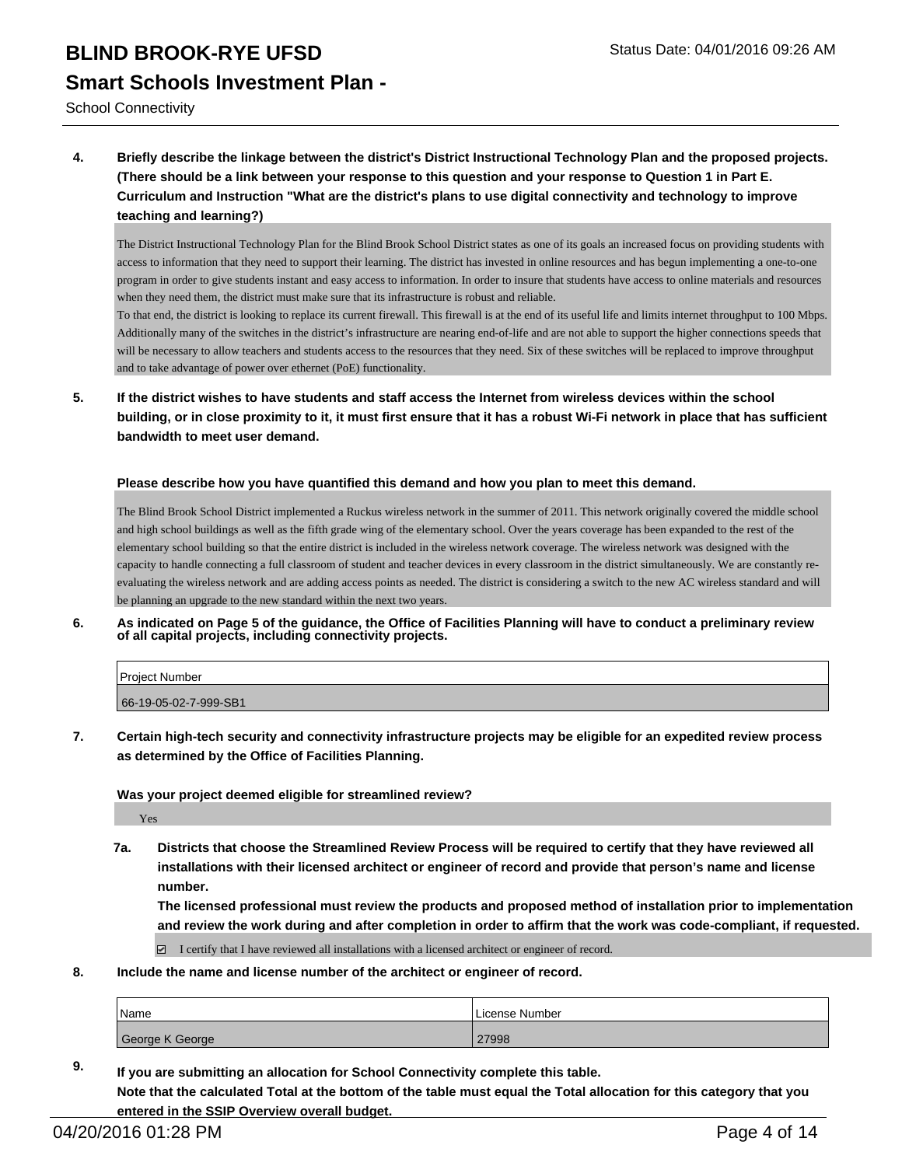School Connectivity

**4. Briefly describe the linkage between the district's District Instructional Technology Plan and the proposed projects. (There should be a link between your response to this question and your response to Question 1 in Part E. Curriculum and Instruction "What are the district's plans to use digital connectivity and technology to improve teaching and learning?)**

The District Instructional Technology Plan for the Blind Brook School District states as one of its goals an increased focus on providing students with access to information that they need to support their learning. The district has invested in online resources and has begun implementing a one-to-one program in order to give students instant and easy access to information. In order to insure that students have access to online materials and resources when they need them, the district must make sure that its infrastructure is robust and reliable.

To that end, the district is looking to replace its current firewall. This firewall is at the end of its useful life and limits internet throughput to 100 Mbps. Additionally many of the switches in the district's infrastructure are nearing end-of-life and are not able to support the higher connections speeds that will be necessary to allow teachers and students access to the resources that they need. Six of these switches will be replaced to improve throughput and to take advantage of power over ethernet (PoE) functionality.

**5. If the district wishes to have students and staff access the Internet from wireless devices within the school building, or in close proximity to it, it must first ensure that it has a robust Wi-Fi network in place that has sufficient bandwidth to meet user demand.**

### **Please describe how you have quantified this demand and how you plan to meet this demand.**

The Blind Brook School District implemented a Ruckus wireless network in the summer of 2011. This network originally covered the middle school and high school buildings as well as the fifth grade wing of the elementary school. Over the years coverage has been expanded to the rest of the elementary school building so that the entire district is included in the wireless network coverage. The wireless network was designed with the capacity to handle connecting a full classroom of student and teacher devices in every classroom in the district simultaneously. We are constantly reevaluating the wireless network and are adding access points as needed. The district is considering a switch to the new AC wireless standard and will be planning an upgrade to the new standard within the next two years.

**6. As indicated on Page 5 of the guidance, the Office of Facilities Planning will have to conduct a preliminary review of all capital projects, including connectivity projects.**

| <b>Project Number</b> |  |
|-----------------------|--|
| 66-19-05-02-7-999-SB1 |  |

**7. Certain high-tech security and connectivity infrastructure projects may be eligible for an expedited review process as determined by the Office of Facilities Planning.**

### **Was your project deemed eligible for streamlined review?**

Yes

**7a. Districts that choose the Streamlined Review Process will be required to certify that they have reviewed all installations with their licensed architect or engineer of record and provide that person's name and license number.**

**The licensed professional must review the products and proposed method of installation prior to implementation and review the work during and after completion in order to affirm that the work was code-compliant, if requested.**

I certify that I have reviewed all installations with a licensed architect or engineer of record.

**8. Include the name and license number of the architect or engineer of record.**

**entered in the SSIP Overview overall budget.** 

| Name            | rLicense Number |
|-----------------|-----------------|
| George K George | 27998           |

**9. If you are submitting an allocation for School Connectivity complete this table. Note that the calculated Total at the bottom of the table must equal the Total allocation for this category that you**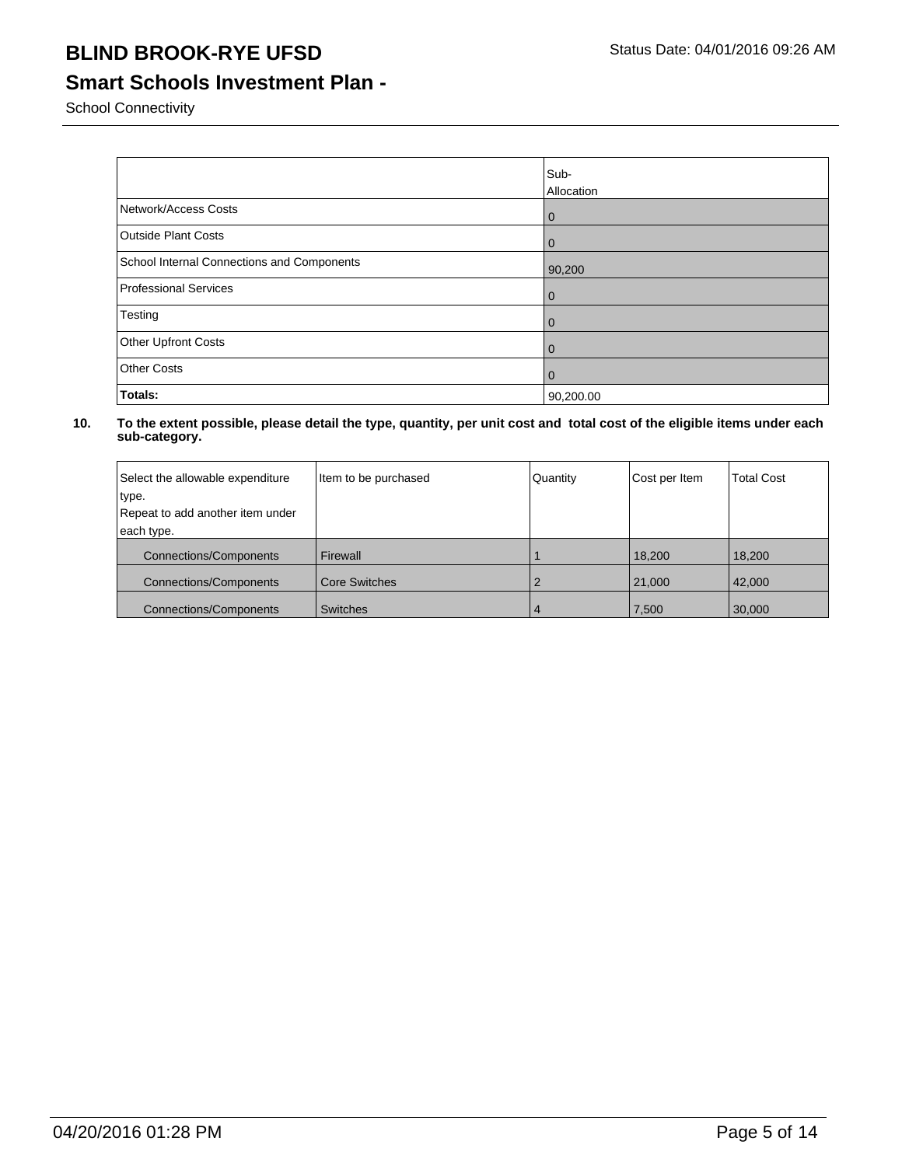## **Smart Schools Investment Plan -**

School Connectivity

|                                            | Sub-<br>Allocation |
|--------------------------------------------|--------------------|
| Network/Access Costs                       | l 0                |
| <b>Outside Plant Costs</b>                 | l 0                |
| School Internal Connections and Components | 90,200             |
| <b>Professional Services</b>               | l 0                |
| Testing                                    | l 0                |
| Other Upfront Costs                        | l 0                |
| <b>Other Costs</b>                         | l 0                |
| Totals:                                    | 90,200.00          |

| Select the allowable expenditure | Item to be purchased | Quantity | Cost per Item | <b>Total Cost</b> |
|----------------------------------|----------------------|----------|---------------|-------------------|
| type.                            |                      |          |               |                   |
| Repeat to add another item under |                      |          |               |                   |
| each type.                       |                      |          |               |                   |
| <b>Connections/Components</b>    | Firewall             |          | 18,200        | 18,200            |
| <b>Connections/Components</b>    | <b>Core Switches</b> |          | 21,000        | 42,000            |
| <b>Connections/Components</b>    | <b>Switches</b>      | 4        | 7,500         | 30,000            |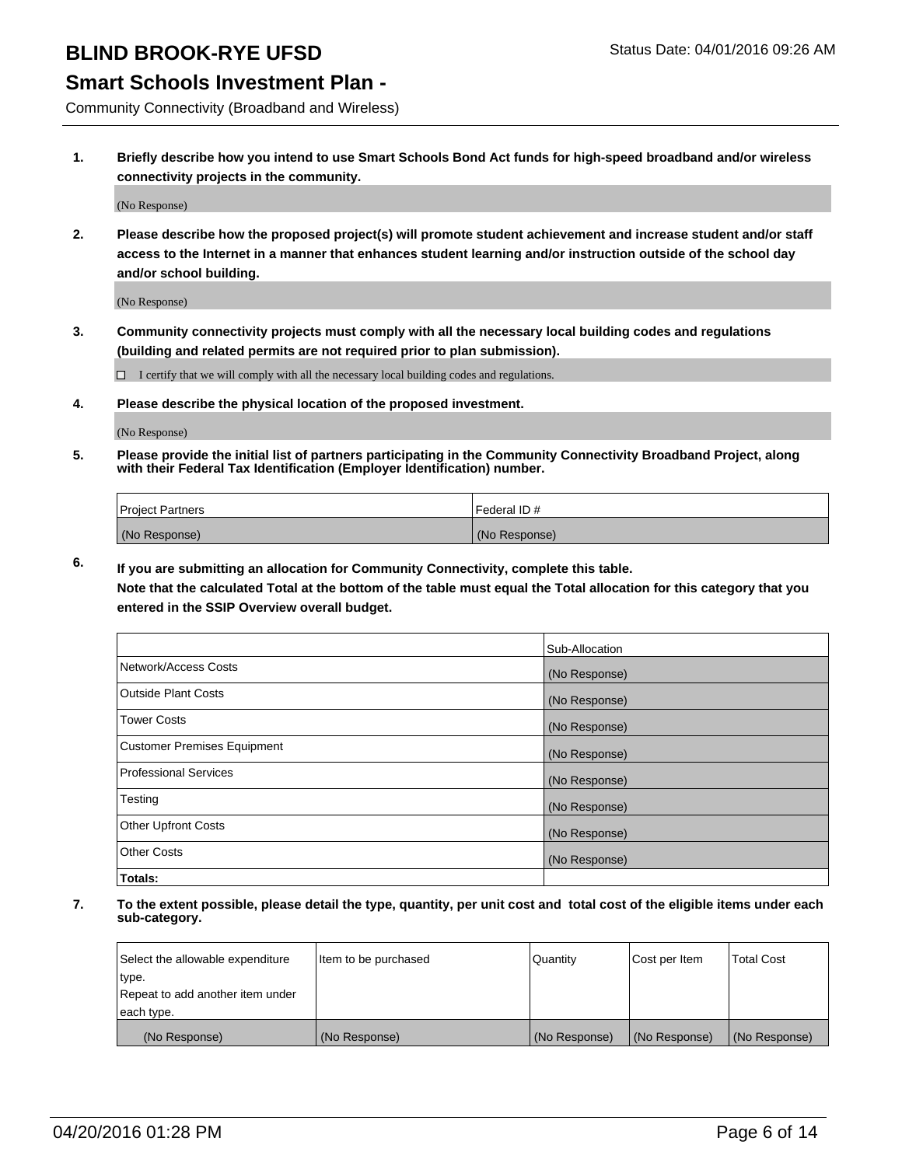### **Smart Schools Investment Plan -**

Community Connectivity (Broadband and Wireless)

**1. Briefly describe how you intend to use Smart Schools Bond Act funds for high-speed broadband and/or wireless connectivity projects in the community.**

(No Response)

**2. Please describe how the proposed project(s) will promote student achievement and increase student and/or staff access to the Internet in a manner that enhances student learning and/or instruction outside of the school day and/or school building.**

(No Response)

**3. Community connectivity projects must comply with all the necessary local building codes and regulations (building and related permits are not required prior to plan submission).**

 $\Box$  I certify that we will comply with all the necessary local building codes and regulations.

**4. Please describe the physical location of the proposed investment.**

(No Response)

**5. Please provide the initial list of partners participating in the Community Connectivity Broadband Project, along with their Federal Tax Identification (Employer Identification) number.**

| <b>Project Partners</b> | <b>IFederal ID#</b> |
|-------------------------|---------------------|
| (No Response)           | (No Response)       |

**6. If you are submitting an allocation for Community Connectivity, complete this table.**

**Note that the calculated Total at the bottom of the table must equal the Total allocation for this category that you entered in the SSIP Overview overall budget.**

|                                    | Sub-Allocation |
|------------------------------------|----------------|
| Network/Access Costs               | (No Response)  |
| Outside Plant Costs                | (No Response)  |
| <b>Tower Costs</b>                 | (No Response)  |
| <b>Customer Premises Equipment</b> | (No Response)  |
| Professional Services              | (No Response)  |
| Testing                            | (No Response)  |
| <b>Other Upfront Costs</b>         | (No Response)  |
| <b>Other Costs</b>                 | (No Response)  |
| Totals:                            |                |

| Select the allowable expenditure | litem to be purchased | Quantity      | Cost per Item | <b>Total Cost</b> |
|----------------------------------|-----------------------|---------------|---------------|-------------------|
| type.                            |                       |               |               |                   |
| Repeat to add another item under |                       |               |               |                   |
| each type.                       |                       |               |               |                   |
| (No Response)                    | (No Response)         | (No Response) | (No Response) | (No Response)     |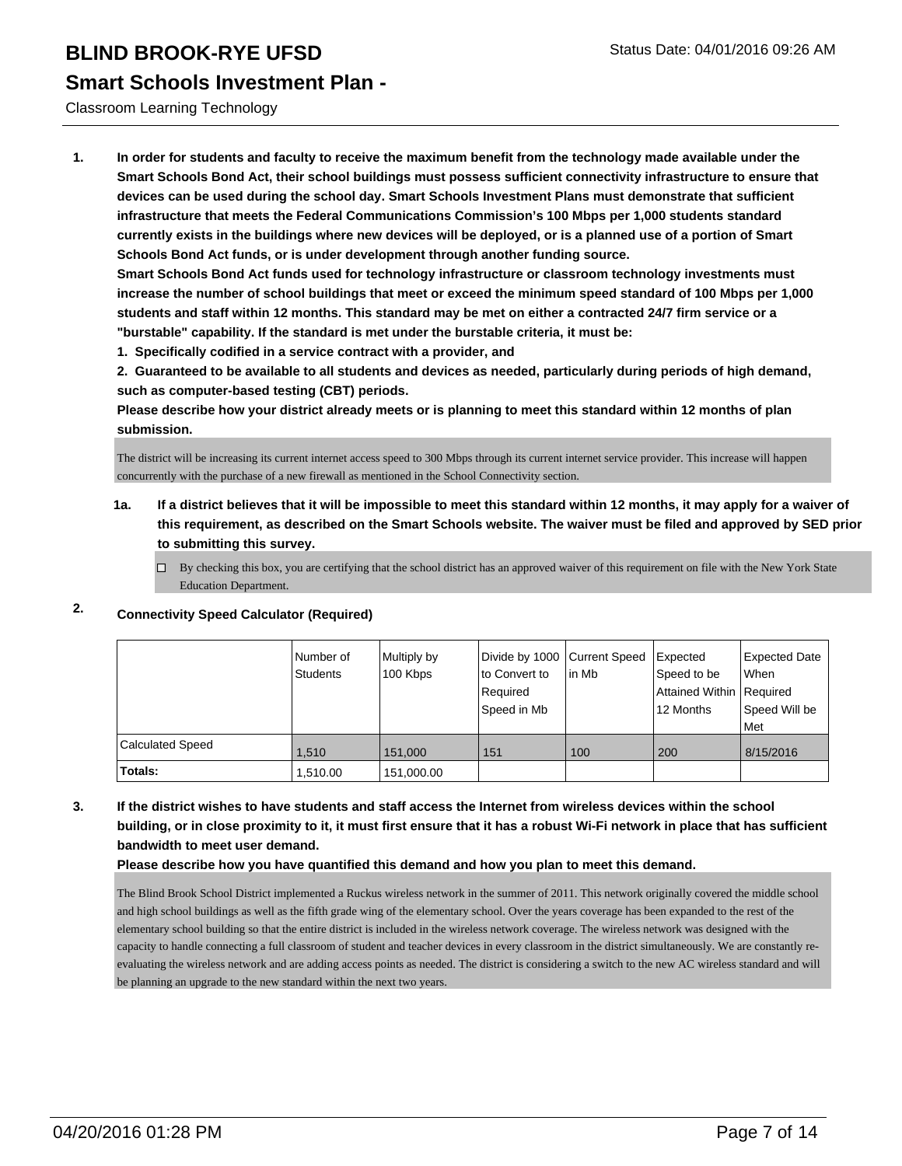Classroom Learning Technology

**1. In order for students and faculty to receive the maximum benefit from the technology made available under the Smart Schools Bond Act, their school buildings must possess sufficient connectivity infrastructure to ensure that devices can be used during the school day. Smart Schools Investment Plans must demonstrate that sufficient infrastructure that meets the Federal Communications Commission's 100 Mbps per 1,000 students standard currently exists in the buildings where new devices will be deployed, or is a planned use of a portion of Smart Schools Bond Act funds, or is under development through another funding source.**

**Smart Schools Bond Act funds used for technology infrastructure or classroom technology investments must increase the number of school buildings that meet or exceed the minimum speed standard of 100 Mbps per 1,000 students and staff within 12 months. This standard may be met on either a contracted 24/7 firm service or a "burstable" capability. If the standard is met under the burstable criteria, it must be:**

**1. Specifically codified in a service contract with a provider, and**

**2. Guaranteed to be available to all students and devices as needed, particularly during periods of high demand, such as computer-based testing (CBT) periods.**

**Please describe how your district already meets or is planning to meet this standard within 12 months of plan submission.**

The district will be increasing its current internet access speed to 300 Mbps through its current internet service provider. This increase will happen concurrently with the purchase of a new firewall as mentioned in the School Connectivity section.

- **1a. If a district believes that it will be impossible to meet this standard within 12 months, it may apply for a waiver of this requirement, as described on the Smart Schools website. The waiver must be filed and approved by SED prior to submitting this survey.**
	- $\Box$  By checking this box, you are certifying that the school district has an approved waiver of this requirement on file with the New York State Education Department.

|                         | Number of<br><b>Students</b> | Multiply by<br>100 Kbps | Divide by 1000 Current Speed<br>lto Convert to<br>Required<br>Speed in Mb | lin Mb | Expected<br>Speed to be<br>Attained Within   Required<br>12 Months | Expected Date<br>l When<br>Speed Will be<br>l Met |
|-------------------------|------------------------------|-------------------------|---------------------------------------------------------------------------|--------|--------------------------------------------------------------------|---------------------------------------------------|
| <b>Calculated Speed</b> | 1.510                        | 151.000                 | 151                                                                       | 100    | 200                                                                | 8/15/2016                                         |
| Totals:                 | 1,510.00                     | 151,000.00              |                                                                           |        |                                                                    |                                                   |

### **2. Connectivity Speed Calculator (Required)**

**3. If the district wishes to have students and staff access the Internet from wireless devices within the school building, or in close proximity to it, it must first ensure that it has a robust Wi-Fi network in place that has sufficient bandwidth to meet user demand.**

**Please describe how you have quantified this demand and how you plan to meet this demand.**

The Blind Brook School District implemented a Ruckus wireless network in the summer of 2011. This network originally covered the middle school and high school buildings as well as the fifth grade wing of the elementary school. Over the years coverage has been expanded to the rest of the elementary school building so that the entire district is included in the wireless network coverage. The wireless network was designed with the capacity to handle connecting a full classroom of student and teacher devices in every classroom in the district simultaneously. We are constantly reevaluating the wireless network and are adding access points as needed. The district is considering a switch to the new AC wireless standard and will be planning an upgrade to the new standard within the next two years.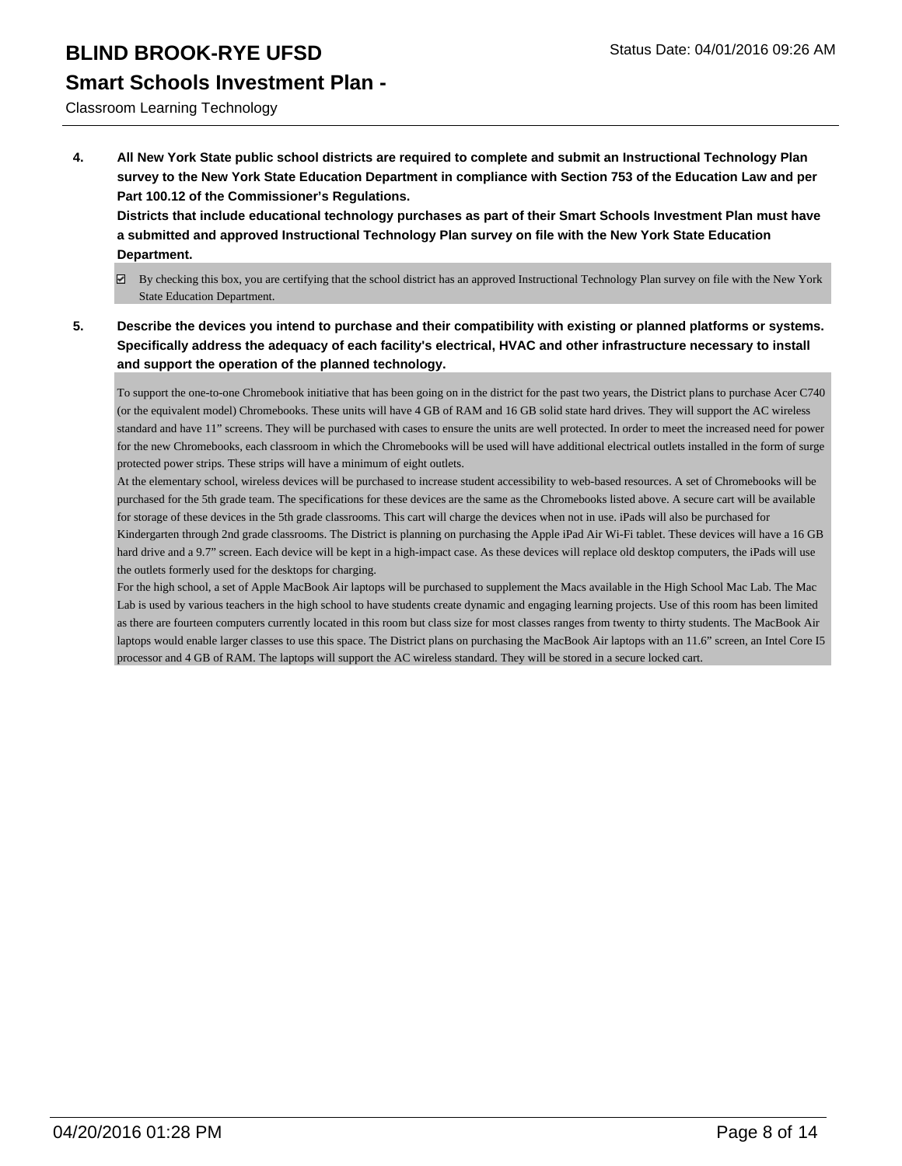## **Smart Schools Investment Plan -**

Classroom Learning Technology

**4. All New York State public school districts are required to complete and submit an Instructional Technology Plan survey to the New York State Education Department in compliance with Section 753 of the Education Law and per Part 100.12 of the Commissioner's Regulations.**

**Districts that include educational technology purchases as part of their Smart Schools Investment Plan must have a submitted and approved Instructional Technology Plan survey on file with the New York State Education Department.**

- $\boxdot$  By checking this box, you are certifying that the school district has an approved Instructional Technology Plan survey on file with the New York State Education Department.
- **5. Describe the devices you intend to purchase and their compatibility with existing or planned platforms or systems. Specifically address the adequacy of each facility's electrical, HVAC and other infrastructure necessary to install and support the operation of the planned technology.**

To support the one-to-one Chromebook initiative that has been going on in the district for the past two years, the District plans to purchase Acer C740 (or the equivalent model) Chromebooks. These units will have 4 GB of RAM and 16 GB solid state hard drives. They will support the AC wireless standard and have 11" screens. They will be purchased with cases to ensure the units are well protected. In order to meet the increased need for power for the new Chromebooks, each classroom in which the Chromebooks will be used will have additional electrical outlets installed in the form of surge protected power strips. These strips will have a minimum of eight outlets.

At the elementary school, wireless devices will be purchased to increase student accessibility to web-based resources. A set of Chromebooks will be purchased for the 5th grade team. The specifications for these devices are the same as the Chromebooks listed above. A secure cart will be available for storage of these devices in the 5th grade classrooms. This cart will charge the devices when not in use. iPads will also be purchased for Kindergarten through 2nd grade classrooms. The District is planning on purchasing the Apple iPad Air Wi-Fi tablet. These devices will have a 16 GB hard drive and a 9.7" screen. Each device will be kept in a high-impact case. As these devices will replace old desktop computers, the iPads will use the outlets formerly used for the desktops for charging.

For the high school, a set of Apple MacBook Air laptops will be purchased to supplement the Macs available in the High School Mac Lab. The Mac Lab is used by various teachers in the high school to have students create dynamic and engaging learning projects. Use of this room has been limited as there are fourteen computers currently located in this room but class size for most classes ranges from twenty to thirty students. The MacBook Air laptops would enable larger classes to use this space. The District plans on purchasing the MacBook Air laptops with an 11.6" screen, an Intel Core I5 processor and 4 GB of RAM. The laptops will support the AC wireless standard. They will be stored in a secure locked cart.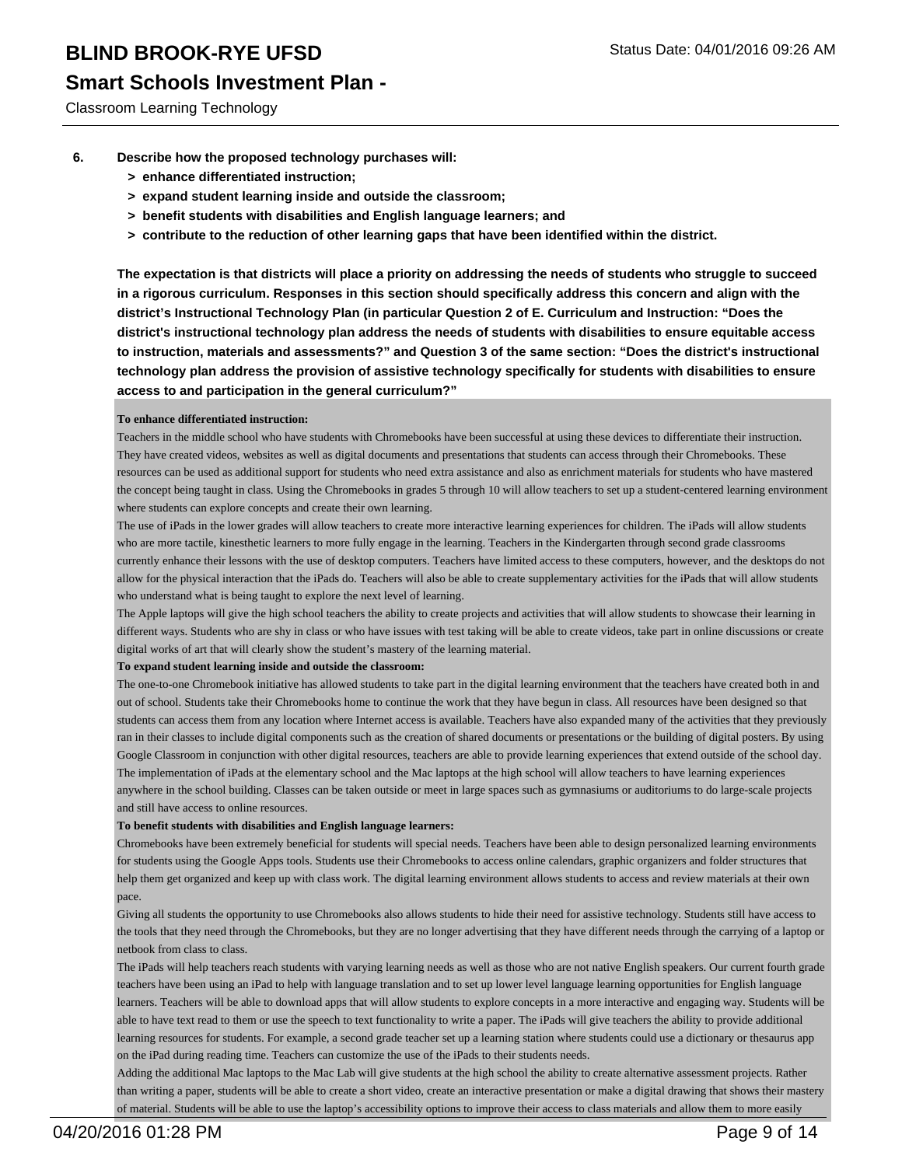## **Smart Schools Investment Plan -**

Classroom Learning Technology

- **6. Describe how the proposed technology purchases will:**
	- **> enhance differentiated instruction;**
	- **> expand student learning inside and outside the classroom;**
	- **> benefit students with disabilities and English language learners; and**
	- **> contribute to the reduction of other learning gaps that have been identified within the district.**

**The expectation is that districts will place a priority on addressing the needs of students who struggle to succeed in a rigorous curriculum. Responses in this section should specifically address this concern and align with the district's Instructional Technology Plan (in particular Question 2 of E. Curriculum and Instruction: "Does the district's instructional technology plan address the needs of students with disabilities to ensure equitable access to instruction, materials and assessments?" and Question 3 of the same section: "Does the district's instructional technology plan address the provision of assistive technology specifically for students with disabilities to ensure access to and participation in the general curriculum?"**

### **To enhance differentiated instruction:**

Teachers in the middle school who have students with Chromebooks have been successful at using these devices to differentiate their instruction. They have created videos, websites as well as digital documents and presentations that students can access through their Chromebooks. These resources can be used as additional support for students who need extra assistance and also as enrichment materials for students who have mastered the concept being taught in class. Using the Chromebooks in grades 5 through 10 will allow teachers to set up a student-centered learning environment where students can explore concepts and create their own learning.

The use of iPads in the lower grades will allow teachers to create more interactive learning experiences for children. The iPads will allow students who are more tactile, kinesthetic learners to more fully engage in the learning. Teachers in the Kindergarten through second grade classrooms currently enhance their lessons with the use of desktop computers. Teachers have limited access to these computers, however, and the desktops do not allow for the physical interaction that the iPads do. Teachers will also be able to create supplementary activities for the iPads that will allow students who understand what is being taught to explore the next level of learning.

The Apple laptops will give the high school teachers the ability to create projects and activities that will allow students to showcase their learning in different ways. Students who are shy in class or who have issues with test taking will be able to create videos, take part in online discussions or create digital works of art that will clearly show the student's mastery of the learning material.

### **To expand student learning inside and outside the classroom:**

The one-to-one Chromebook initiative has allowed students to take part in the digital learning environment that the teachers have created both in and out of school. Students take their Chromebooks home to continue the work that they have begun in class. All resources have been designed so that students can access them from any location where Internet access is available. Teachers have also expanded many of the activities that they previously ran in their classes to include digital components such as the creation of shared documents or presentations or the building of digital posters. By using Google Classroom in conjunction with other digital resources, teachers are able to provide learning experiences that extend outside of the school day. The implementation of iPads at the elementary school and the Mac laptops at the high school will allow teachers to have learning experiences anywhere in the school building. Classes can be taken outside or meet in large spaces such as gymnasiums or auditoriums to do large-scale projects and still have access to online resources.

### **To benefit students with disabilities and English language learners:**

Chromebooks have been extremely beneficial for students will special needs. Teachers have been able to design personalized learning environments for students using the Google Apps tools. Students use their Chromebooks to access online calendars, graphic organizers and folder structures that help them get organized and keep up with class work. The digital learning environment allows students to access and review materials at their own pace.

Giving all students the opportunity to use Chromebooks also allows students to hide their need for assistive technology. Students still have access to the tools that they need through the Chromebooks, but they are no longer advertising that they have different needs through the carrying of a laptop or netbook from class to class.

The iPads will help teachers reach students with varying learning needs as well as those who are not native English speakers. Our current fourth grade teachers have been using an iPad to help with language translation and to set up lower level language learning opportunities for English language learners. Teachers will be able to download apps that will allow students to explore concepts in a more interactive and engaging way. Students will be able to have text read to them or use the speech to text functionality to write a paper. The iPads will give teachers the ability to provide additional learning resources for students. For example, a second grade teacher set up a learning station where students could use a dictionary or thesaurus app on the iPad during reading time. Teachers can customize the use of the iPads to their students needs.

Adding the additional Mac laptops to the Mac Lab will give students at the high school the ability to create alternative assessment projects. Rather than writing a paper, students will be able to create a short video, create an interactive presentation or make a digital drawing that shows their mastery of material. Students will be able to use the laptop's accessibility options to improve their access to class materials and allow them to more easily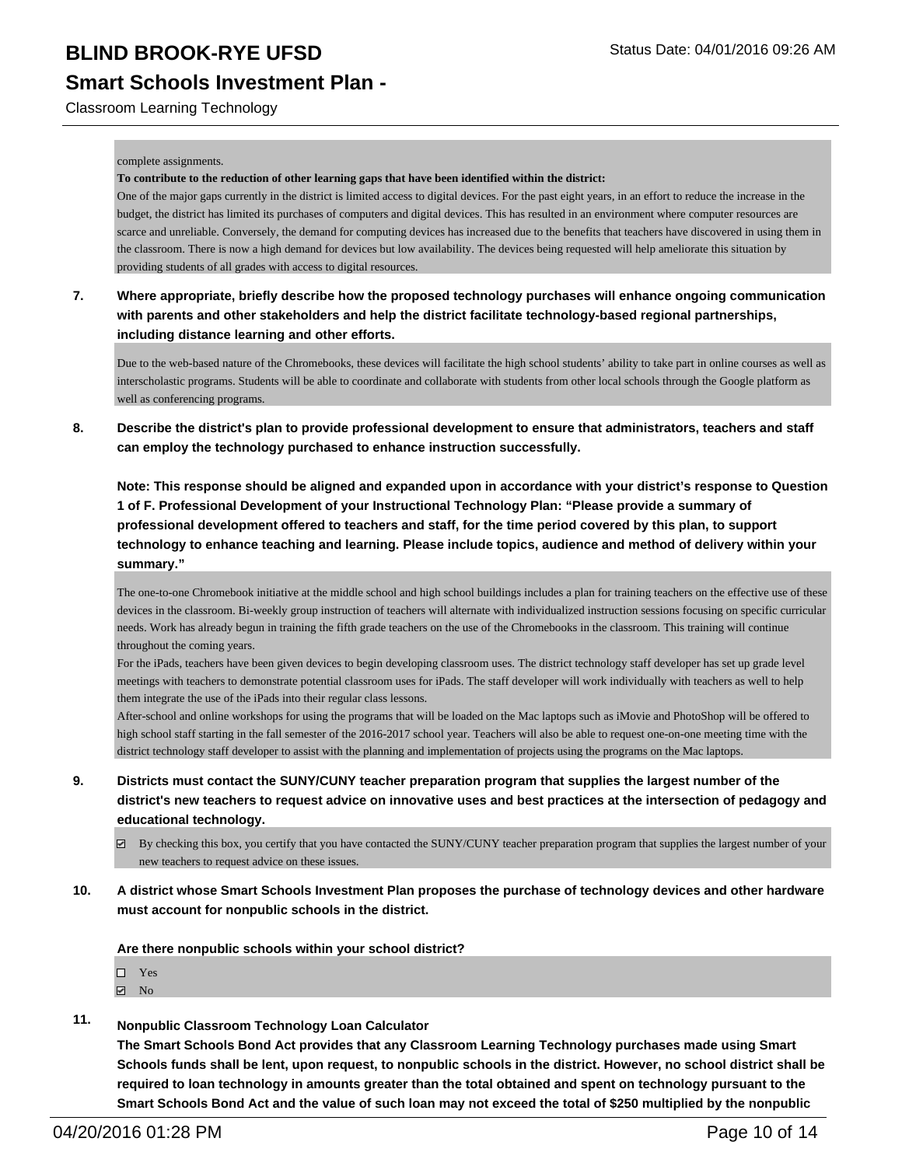Classroom Learning Technology

#### complete assignments.

#### **To contribute to the reduction of other learning gaps that have been identified within the district:**

One of the major gaps currently in the district is limited access to digital devices. For the past eight years, in an effort to reduce the increase in the budget, the district has limited its purchases of computers and digital devices. This has resulted in an environment where computer resources are scarce and unreliable. Conversely, the demand for computing devices has increased due to the benefits that teachers have discovered in using them in the classroom. There is now a high demand for devices but low availability. The devices being requested will help ameliorate this situation by providing students of all grades with access to digital resources.

**7. Where appropriate, briefly describe how the proposed technology purchases will enhance ongoing communication with parents and other stakeholders and help the district facilitate technology-based regional partnerships, including distance learning and other efforts.**

Due to the web-based nature of the Chromebooks, these devices will facilitate the high school students' ability to take part in online courses as well as interscholastic programs. Students will be able to coordinate and collaborate with students from other local schools through the Google platform as well as conferencing programs.

**8. Describe the district's plan to provide professional development to ensure that administrators, teachers and staff can employ the technology purchased to enhance instruction successfully.**

**Note: This response should be aligned and expanded upon in accordance with your district's response to Question 1 of F. Professional Development of your Instructional Technology Plan: "Please provide a summary of professional development offered to teachers and staff, for the time period covered by this plan, to support technology to enhance teaching and learning. Please include topics, audience and method of delivery within your summary."**

The one-to-one Chromebook initiative at the middle school and high school buildings includes a plan for training teachers on the effective use of these devices in the classroom. Bi-weekly group instruction of teachers will alternate with individualized instruction sessions focusing on specific curricular needs. Work has already begun in training the fifth grade teachers on the use of the Chromebooks in the classroom. This training will continue throughout the coming years.

For the iPads, teachers have been given devices to begin developing classroom uses. The district technology staff developer has set up grade level meetings with teachers to demonstrate potential classroom uses for iPads. The staff developer will work individually with teachers as well to help them integrate the use of the iPads into their regular class lessons.

After-school and online workshops for using the programs that will be loaded on the Mac laptops such as iMovie and PhotoShop will be offered to high school staff starting in the fall semester of the 2016-2017 school year. Teachers will also be able to request one-on-one meeting time with the district technology staff developer to assist with the planning and implementation of projects using the programs on the Mac laptops.

- **9. Districts must contact the SUNY/CUNY teacher preparation program that supplies the largest number of the district's new teachers to request advice on innovative uses and best practices at the intersection of pedagogy and educational technology.**
	- By checking this box, you certify that you have contacted the SUNY/CUNY teacher preparation program that supplies the largest number of your new teachers to request advice on these issues.
- **10. A district whose Smart Schools Investment Plan proposes the purchase of technology devices and other hardware must account for nonpublic schools in the district.**

### **Are there nonpublic schools within your school district?**

- Yes
- $\boxdot$  No
- **11. Nonpublic Classroom Technology Loan Calculator**

**The Smart Schools Bond Act provides that any Classroom Learning Technology purchases made using Smart Schools funds shall be lent, upon request, to nonpublic schools in the district. However, no school district shall be required to loan technology in amounts greater than the total obtained and spent on technology pursuant to the Smart Schools Bond Act and the value of such loan may not exceed the total of \$250 multiplied by the nonpublic**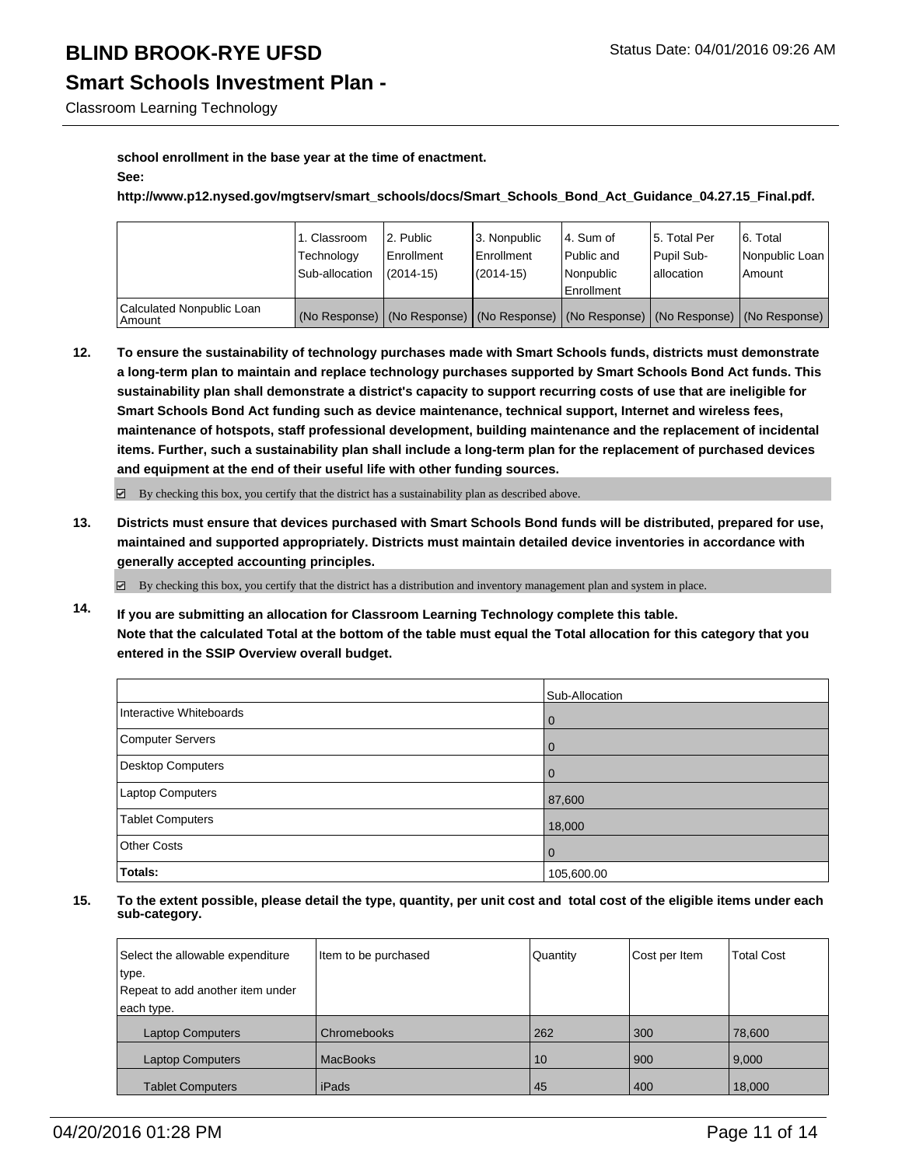## **Smart Schools Investment Plan -**

Classroom Learning Technology

### **school enrollment in the base year at the time of enactment. See:**

**http://www.p12.nysed.gov/mgtserv/smart\_schools/docs/Smart\_Schools\_Bond\_Act\_Guidance\_04.27.15\_Final.pdf.**

|                                       | 1. Classroom<br>Technology | 2. Public<br>Enrollment | 3. Nonpublic<br><b>Enrollment</b> | l 4. Sum of<br>Public and | l 5. Total Per<br>Pupil Sub- | 6. Total<br>Nonpublic Loan                                                                    |
|---------------------------------------|----------------------------|-------------------------|-----------------------------------|---------------------------|------------------------------|-----------------------------------------------------------------------------------------------|
|                                       | Sub-allocation             | $(2014 - 15)$           | (2014-15)                         | l Nonpublic               | lallocation                  | Amount                                                                                        |
|                                       |                            |                         |                                   | Enrollment                |                              |                                                                                               |
| Calculated Nonpublic Loan<br>  Amount |                            |                         |                                   |                           |                              | (No Response)   (No Response)   (No Response)   (No Response)   (No Response)   (No Response) |

**12. To ensure the sustainability of technology purchases made with Smart Schools funds, districts must demonstrate a long-term plan to maintain and replace technology purchases supported by Smart Schools Bond Act funds. This sustainability plan shall demonstrate a district's capacity to support recurring costs of use that are ineligible for Smart Schools Bond Act funding such as device maintenance, technical support, Internet and wireless fees, maintenance of hotspots, staff professional development, building maintenance and the replacement of incidental items. Further, such a sustainability plan shall include a long-term plan for the replacement of purchased devices and equipment at the end of their useful life with other funding sources.**

 $\boxtimes$  By checking this box, you certify that the district has a sustainability plan as described above.

**13. Districts must ensure that devices purchased with Smart Schools Bond funds will be distributed, prepared for use, maintained and supported appropriately. Districts must maintain detailed device inventories in accordance with generally accepted accounting principles.**

 $\boxtimes$  By checking this box, you certify that the district has a distribution and inventory management plan and system in place.

**14. If you are submitting an allocation for Classroom Learning Technology complete this table. Note that the calculated Total at the bottom of the table must equal the Total allocation for this category that you entered in the SSIP Overview overall budget.**

|                         | Sub-Allocation |
|-------------------------|----------------|
| Interactive Whiteboards | 0              |
| <b>Computer Servers</b> | 0              |
| Desktop Computers       |                |
| Laptop Computers        | 87,600         |
| <b>Tablet Computers</b> | 18,000         |
| <b>Other Costs</b>      | $\mathbf 0$    |
| <b>Totals:</b>          | 105,600.00     |

| Select the allowable expenditure | Item to be purchased | Quantity | Cost per Item | <b>Total Cost</b> |
|----------------------------------|----------------------|----------|---------------|-------------------|
| type.                            |                      |          |               |                   |
| Repeat to add another item under |                      |          |               |                   |
| each type.                       |                      |          |               |                   |
| <b>Laptop Computers</b>          | Chromebooks          | 262      | 300           | 78,600            |
| <b>Laptop Computers</b>          | <b>MacBooks</b>      | 10       | 900           | 9,000             |
| <b>Tablet Computers</b>          | iPads                | 45       | 400           | 18,000            |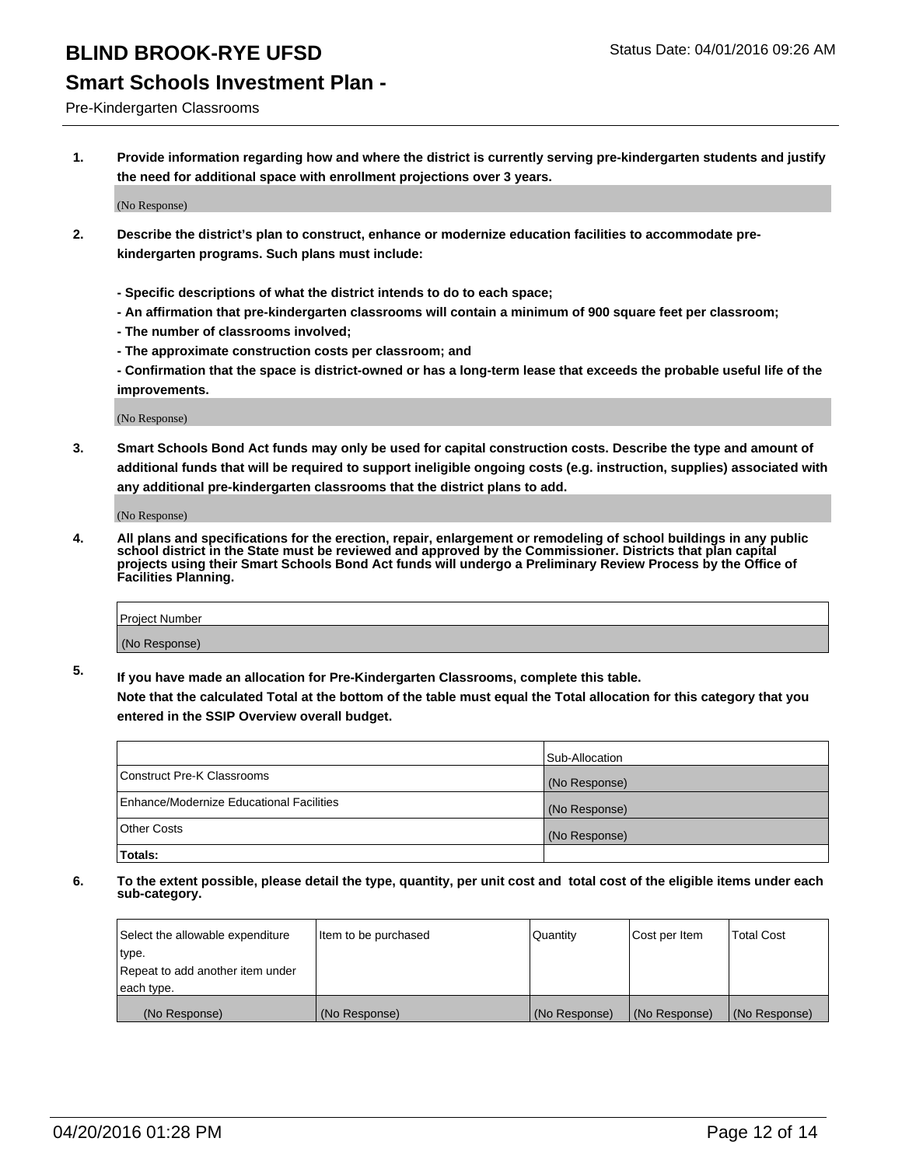## **Smart Schools Investment Plan -**

Pre-Kindergarten Classrooms

**1. Provide information regarding how and where the district is currently serving pre-kindergarten students and justify the need for additional space with enrollment projections over 3 years.**

(No Response)

- **2. Describe the district's plan to construct, enhance or modernize education facilities to accommodate prekindergarten programs. Such plans must include:**
	- **Specific descriptions of what the district intends to do to each space;**
	- **An affirmation that pre-kindergarten classrooms will contain a minimum of 900 square feet per classroom;**
	- **The number of classrooms involved;**
	- **The approximate construction costs per classroom; and**
	- **Confirmation that the space is district-owned or has a long-term lease that exceeds the probable useful life of the improvements.**

(No Response)

**3. Smart Schools Bond Act funds may only be used for capital construction costs. Describe the type and amount of additional funds that will be required to support ineligible ongoing costs (e.g. instruction, supplies) associated with any additional pre-kindergarten classrooms that the district plans to add.**

(No Response)

**4. All plans and specifications for the erection, repair, enlargement or remodeling of school buildings in any public school district in the State must be reviewed and approved by the Commissioner. Districts that plan capital projects using their Smart Schools Bond Act funds will undergo a Preliminary Review Process by the Office of Facilities Planning.**

| Project Number |  |
|----------------|--|
| (No Response)  |  |

**5. If you have made an allocation for Pre-Kindergarten Classrooms, complete this table. Note that the calculated Total at the bottom of the table must equal the Total allocation for this category that you**

**entered in the SSIP Overview overall budget.**

|                                          | Sub-Allocation |
|------------------------------------------|----------------|
| Construct Pre-K Classrooms               | (No Response)  |
| Enhance/Modernize Educational Facilities | (No Response)  |
| Other Costs                              | (No Response)  |
| <b>Totals:</b>                           |                |

| Select the allowable expenditure | Item to be purchased | Quantity      | Cost per Item | <b>Total Cost</b> |
|----------------------------------|----------------------|---------------|---------------|-------------------|
| type.                            |                      |               |               |                   |
| Repeat to add another item under |                      |               |               |                   |
| each type.                       |                      |               |               |                   |
| (No Response)                    | (No Response)        | (No Response) | (No Response) | (No Response)     |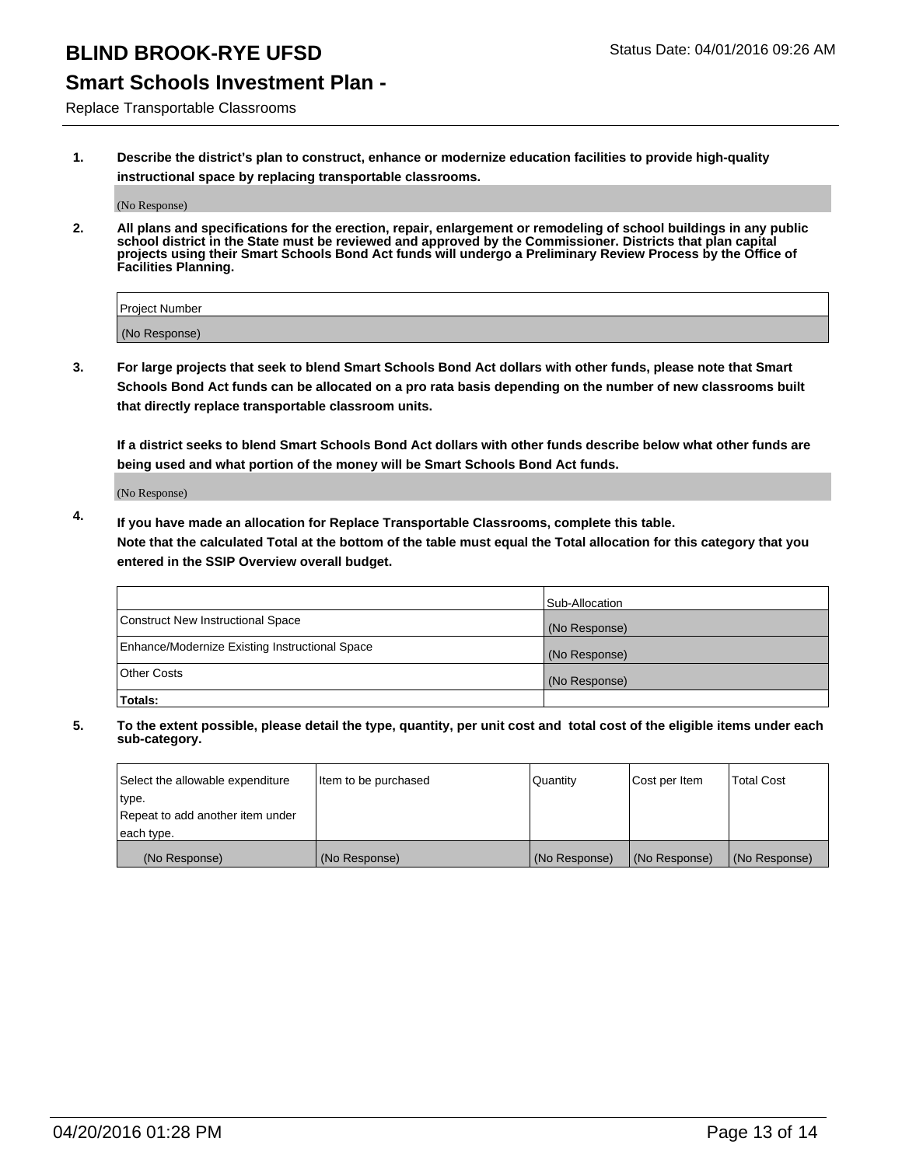## **Smart Schools Investment Plan -**

Replace Transportable Classrooms

**1. Describe the district's plan to construct, enhance or modernize education facilities to provide high-quality instructional space by replacing transportable classrooms.**

(No Response)

**2. All plans and specifications for the erection, repair, enlargement or remodeling of school buildings in any public school district in the State must be reviewed and approved by the Commissioner. Districts that plan capital projects using their Smart Schools Bond Act funds will undergo a Preliminary Review Process by the Office of Facilities Planning.**

| Project Number |  |
|----------------|--|
| (No Response)  |  |

**3. For large projects that seek to blend Smart Schools Bond Act dollars with other funds, please note that Smart Schools Bond Act funds can be allocated on a pro rata basis depending on the number of new classrooms built that directly replace transportable classroom units.**

**If a district seeks to blend Smart Schools Bond Act dollars with other funds describe below what other funds are being used and what portion of the money will be Smart Schools Bond Act funds.**

(No Response)

**4. If you have made an allocation for Replace Transportable Classrooms, complete this table. Note that the calculated Total at the bottom of the table must equal the Total allocation for this category that you entered in the SSIP Overview overall budget.**

|                                                | Sub-Allocation |
|------------------------------------------------|----------------|
| Construct New Instructional Space              | (No Response)  |
| Enhance/Modernize Existing Instructional Space | (No Response)  |
| <b>Other Costs</b>                             | (No Response)  |
| Totals:                                        |                |

| Select the allowable expenditure | Item to be purchased | <b>Quantity</b> | Cost per Item | <b>Total Cost</b> |
|----------------------------------|----------------------|-----------------|---------------|-------------------|
| type.                            |                      |                 |               |                   |
| Repeat to add another item under |                      |                 |               |                   |
| each type.                       |                      |                 |               |                   |
| (No Response)                    | (No Response)        | (No Response)   | (No Response) | (No Response)     |